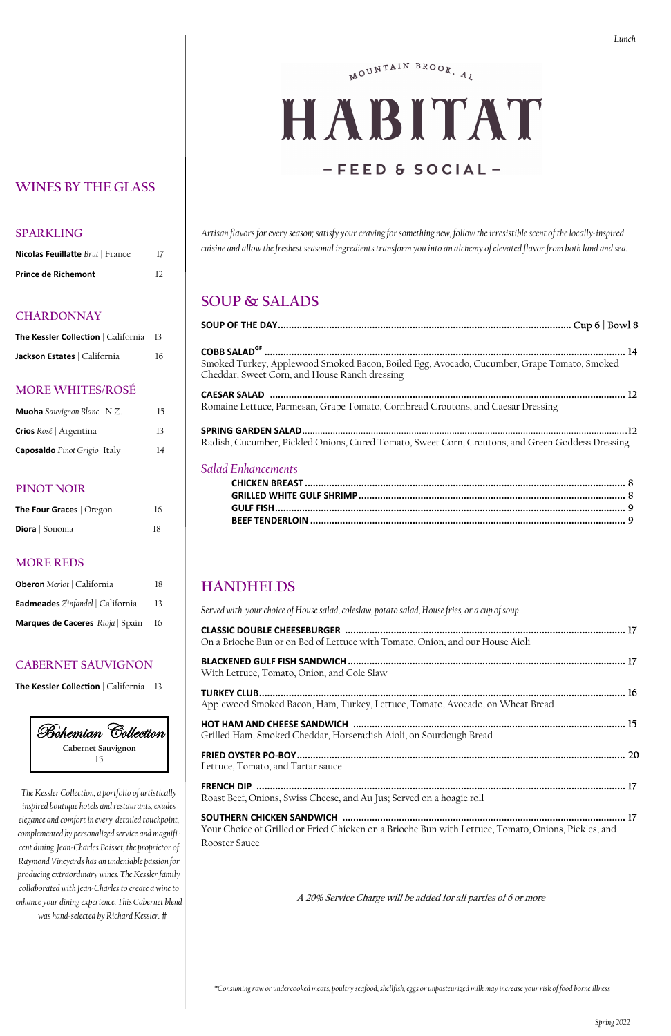## MOUNTAIN BROOK, AL

# HABITAT  $-$ FEED & SOCIAL-

*\*Consuming raw or undercooked meats, poultry seafood, shellfish, eggs or unpasteurized milk may increase your risk of food borne illness*

| <b>Nicolas Feuillatte</b> Brut   France | 17 |
|-----------------------------------------|----|
| <b>Prince de Richemont</b>              | 12 |

### **WINES BY THE GLASS**

### **SPARKLING**

### **CHARDONNAY**

| <b>The Kessler Collection</b>   California 13 |    |
|-----------------------------------------------|----|
| Jackson Estates   California                  | 16 |

### **MORE WHITES/ROSÉ**

| <b>Muoha</b> Sauvignon Blanc   N.Z. | 15. |
|-------------------------------------|-----|
| <b>Crios</b> Rosé   Argentina       | 13  |
| <b>Caposaldo</b> Pinot Grigio Italy | 14  |

### **PINOT NOIR**

| The Four Graces   Oregon | 16 |
|--------------------------|----|
| Diora   Sonoma           | 18 |

### **MORE REDS**

| <b>Oberon</b> Merlot   California       | 18 |
|-----------------------------------------|----|
| <b>Eadmeades</b> Zinfandel   California | 13 |
| Marques de Caceres Rioja   Spain        | 16 |

| <b>Bohemian Collection</b> |
|----------------------------|
| Cabernet Sauvignon         |
|                            |

### **CABERNET SAUVIGNON**

**The Kessler Collection** | California 13

*The Kessler Collection, a portfolio of artistically inspired boutique hotels and restaurants, exudes elegance and comfort in every detailed touchpoint, complemented by personalized service and magnificent dining. Jean-Charles Boisset, the proprietor of Raymond Vineyards has an undeniable passion for producing extraordinary wines. The Kessler family collaborated with Jean-Charles to create a wine to enhance your dining experience. This Cabernet blend was hand-selected by Richard Kessler.* 

*Artisan flavors for every season; satisfy your craving for something new, follow the irresistible scent of the locally-inspired cuisine and allow the freshest seasonal ingredients transform you into an alchemy of elevated flavor from both land and sea.*

### **SOUP & SALADS**

| Smoked Turkey, Applewood Smoked Bacon, Boiled Egg, Avocado, Cucumber, Grape Tomato, Smoked<br>Cheddar, Sweet Corn, and House Ranch dressing |  |
|---------------------------------------------------------------------------------------------------------------------------------------------|--|
|                                                                                                                                             |  |
| Romaine Lettuce, Parmesan, Grape Tomato, Cornbread Croutons, and Caesar Dressing                                                            |  |
|                                                                                                                                             |  |
| Radish, Cucumber, Pickled Onions, Cured Tomato, Sweet Corn, Croutons, and Green Goddess Dressing                                            |  |

### *Salad Enhancements*

# **HANDHELDS**

*Served with your choice of House salad, coleslaw, potato salad, House fries, or a cup of soup* 

| On a Brioche Bun or on Bed of Lettuce with Tomato, Onion, and our House Aioli |  |
|-------------------------------------------------------------------------------|--|
| With Lettuce, Tomato, Onion, and Cole Slaw                                    |  |
| Applewood Smoked Bacon, Ham, Turkey, Lettuce, Tomato, Avocado, on Wheat Bread |  |
| Grilled Ham, Smoked Cheddar, Horseradish Aioli, on Sourdough Bread            |  |
|                                                                               |  |

Lettuce, Tomato, and Tartar sauce

**FRENCH DIP .........................................................................................................................................**  Roast Beef, Onions, Swiss Cheese, and Au Jus; Served on a hoagie roll

**SOUTHERN CHICKEN SANDWICH .........................................................................................................**  Your Choice of Grilled or Fried Chicken on a Brioche Bun with Lettuce, Tomato, Onions, Pickles, and Rooster Sauce

**A 20% Service Charge will be added for all parties of 6 or more**